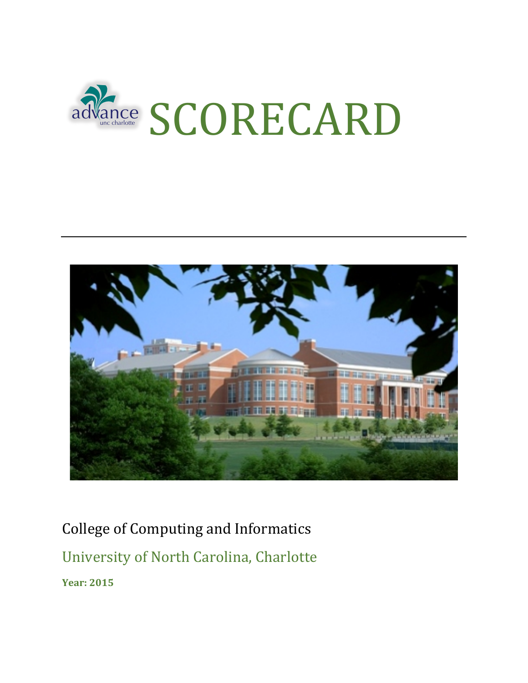



College of Computing and Informatics

University of North Carolina, Charlotte

**Year: 2015**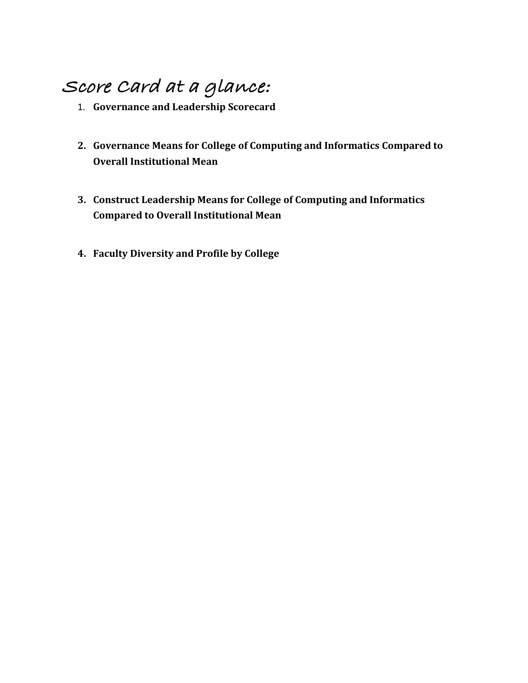# **Score Card at a glance:**

- 1. **Governance and Leadership Scorecard**
- 2. Governance Means for College of Computing and Informatics Compared to **Overall Institutional Mean**
- **3. Construct Leadership Means for College of Computing and Informatics Compared to Overall Institutional Mean**
- **4. Faculty Diversity and Profile by College**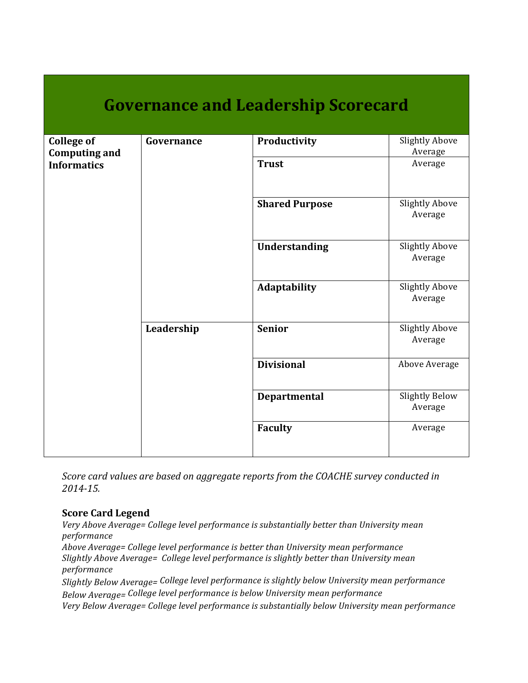| <b>Governance and Leadership Scorecard</b> |            |                       |                                  |  |  |  |
|--------------------------------------------|------------|-----------------------|----------------------------------|--|--|--|
| <b>College of</b><br><b>Computing and</b>  | Governance | Productivity          | <b>Slightly Above</b><br>Average |  |  |  |
| <b>Informatics</b>                         |            | <b>Trust</b>          | Average                          |  |  |  |
|                                            | Leadership | <b>Shared Purpose</b> | <b>Slightly Above</b><br>Average |  |  |  |
|                                            |            | Understanding         | <b>Slightly Above</b><br>Average |  |  |  |
|                                            |            | Adaptability          | <b>Slightly Above</b><br>Average |  |  |  |
|                                            |            | <b>Senior</b>         | <b>Slightly Above</b><br>Average |  |  |  |
|                                            |            | <b>Divisional</b>     | Above Average                    |  |  |  |
|                                            |            | <b>Departmental</b>   | <b>Slightly Below</b><br>Average |  |  |  |
|                                            |            | <b>Faculty</b>        | Average                          |  |  |  |

*Score card values are based on aggregate reports from the COACHE survey conducted in 2014-15.*

#### **Score Card Legend**

Very Above Average= College level performance is substantially better than University mean *performance*

Above Average= College level performance is better than University mean performance Slightly Above Average= College level performance is slightly better than University mean *performance*

Slightly Below Average= College level performance is slightly below University mean performance *Below Average=* College level performance is below University mean performance

Very Below Average= College level performance is substantially below University mean performance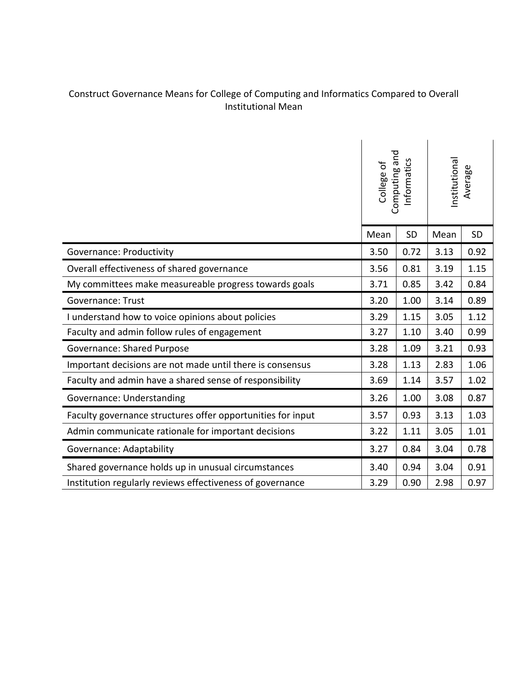### Construct Governance Means for College of Computing and Informatics Compared to Overall Institutional Mean

|                                                             | Computing and<br>Informatics<br>College of |           | nstitutional<br>Average |           |
|-------------------------------------------------------------|--------------------------------------------|-----------|-------------------------|-----------|
|                                                             | Mean                                       | <b>SD</b> | Mean                    | <b>SD</b> |
| <b>Governance: Productivity</b>                             | 3.50                                       | 0.72      | 3.13                    | 0.92      |
| Overall effectiveness of shared governance                  | 3.56                                       | 0.81      | 3.19                    | 1.15      |
| My committees make measureable progress towards goals       | 3.71                                       | 0.85      | 3.42                    | 0.84      |
| <b>Governance: Trust</b>                                    | 3.20                                       | 1.00      | 3.14                    | 0.89      |
| I understand how to voice opinions about policies           | 3.29                                       | 1.15      | 3.05                    | 1.12      |
| Faculty and admin follow rules of engagement                | 3.27                                       | 1.10      | 3.40                    | 0.99      |
| <b>Governance: Shared Purpose</b>                           | 3.28                                       | 1.09      | 3.21                    | 0.93      |
| Important decisions are not made until there is consensus   | 3.28                                       | 1.13      | 2.83                    | 1.06      |
| Faculty and admin have a shared sense of responsibility     | 3.69                                       | 1.14      | 3.57                    | 1.02      |
| Governance: Understanding                                   | 3.26                                       | 1.00      | 3.08                    | 0.87      |
| Faculty governance structures offer opportunities for input | 3.57                                       | 0.93      | 3.13                    | 1.03      |
| Admin communicate rationale for important decisions         | 3.22                                       | 1.11      | 3.05                    | 1.01      |
| Governance: Adaptability                                    | 3.27                                       | 0.84      | 3.04                    | 0.78      |
| Shared governance holds up in unusual circumstances         | 3.40                                       | 0.94      | 3.04                    | 0.91      |
| Institution regularly reviews effectiveness of governance   | 3.29                                       | 0.90      | 2.98                    | 0.97      |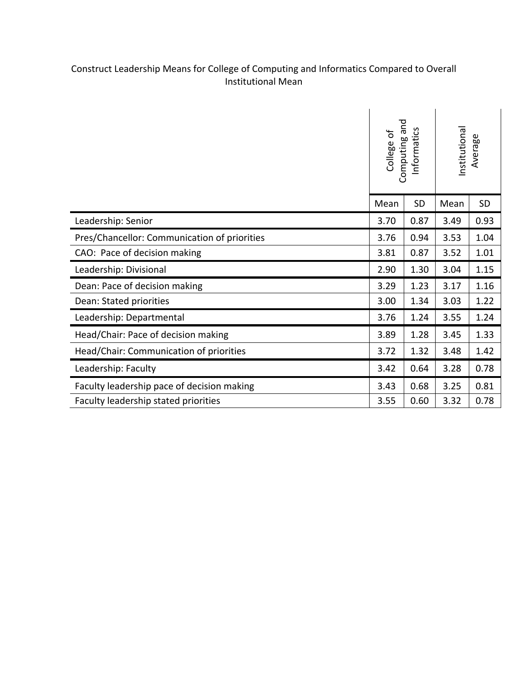#### Construct Leadership Means for College of Computing and Informatics Compared to Overall Institutional Mean

|                                              | Computing and<br>nformatics<br>College of |      | nstitutional<br>Average |           |
|----------------------------------------------|-------------------------------------------|------|-------------------------|-----------|
|                                              | Mean                                      | SD   | Mean                    | <b>SD</b> |
| Leadership: Senior                           | 3.70                                      | 0.87 | 3.49                    | 0.93      |
| Pres/Chancellor: Communication of priorities | 3.76                                      | 0.94 | 3.53                    | 1.04      |
| CAO: Pace of decision making                 | 3.81                                      | 0.87 | 3.52                    | 1.01      |
| Leadership: Divisional                       | 2.90                                      | 1.30 | 3.04                    | 1.15      |
| Dean: Pace of decision making                |                                           | 1.23 | 3.17                    | 1.16      |
| Dean: Stated priorities                      | 3.00                                      | 1.34 | 3.03                    | 1.22      |
| Leadership: Departmental                     | 3.76                                      | 1.24 | 3.55                    | 1.24      |
| Head/Chair: Pace of decision making          | 3.89                                      | 1.28 | 3.45                    | 1.33      |
| Head/Chair: Communication of priorities      | 3.72                                      | 1.32 | 3.48                    | 1.42      |
| Leadership: Faculty                          | 3.42                                      | 0.64 | 3.28                    | 0.78      |
| Faculty leadership pace of decision making   | 3.43                                      | 0.68 | 3.25                    | 0.81      |
| Faculty leadership stated priorities         | 3.55                                      | 0.60 | 3.32                    | 0.78      |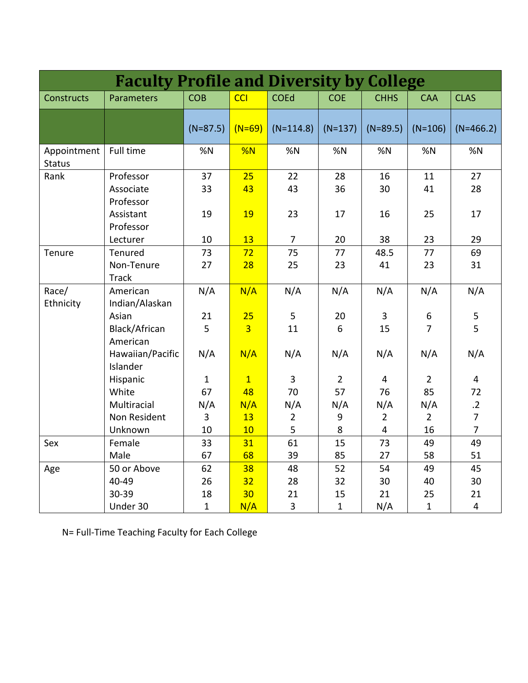| <b>Faculty Profile and Diversity by College</b> |                                     |                    |                      |                               |                |                |                                    |                               |
|-------------------------------------------------|-------------------------------------|--------------------|----------------------|-------------------------------|----------------|----------------|------------------------------------|-------------------------------|
| <b>Constructs</b>                               | Parameters                          | <b>COB</b>         | <b>CCI</b>           | <b>COEd</b>                   | <b>COE</b>     | <b>CHHS</b>    | <b>CAA</b>                         | <b>CLAS</b>                   |
|                                                 |                                     | $(N=87.5)$         | $(N=69)$             | $(N=114.8)$                   | $(N=137)$      | $(N=89.5)$     | $(N=106)$                          | $(N=466.2)$                   |
| Appointment<br><b>Status</b>                    | Full time                           | %N                 | %N                   | %N                            | %N             | %N             | %N                                 | %N                            |
| Rank                                            | Professor<br>Associate<br>Professor | 37<br>33           | 25<br>43             | 22<br>43                      | 28<br>36       | 16<br>30       | 11<br>41                           | 27<br>28                      |
|                                                 | Assistant<br>Professor<br>Lecturer  | 19<br>10           | 19<br>13             | 23<br>$\overline{7}$          | 17<br>20       | 16<br>38       | 25<br>23                           | 17<br>29                      |
| Tenure                                          | Tenured                             | 73                 | 72                   | 75                            | 77             | 48.5           | 77                                 | 69                            |
|                                                 | Non-Tenure<br><b>Track</b>          | 27                 | 28                   | 25                            | 23             | 41             | 23                                 | 31                            |
| Race/<br>Ethnicity                              | American<br>Indian/Alaskan          | N/A                | N/A                  | N/A                           | N/A            | N/A            | N/A                                | N/A                           |
|                                                 | Asian<br>Black/African<br>American  | 21<br>5            | 25<br>$\overline{3}$ | 5<br>11                       | 20<br>6        | 3<br>15        | $\boldsymbol{6}$<br>$\overline{7}$ | 5<br>5                        |
|                                                 | Hawaiian/Pacific<br>Islander        | N/A                | N/A                  | N/A                           | N/A            | N/A            | N/A                                | N/A                           |
|                                                 | Hispanic                            | $\mathbf{1}$       | $\mathbf{1}$         | $\overline{3}$                | $\overline{2}$ | $\overline{4}$ | $\overline{2}$                     | $\overline{4}$                |
|                                                 | White                               | 67                 | 48                   | 70                            | 57             | 76             | 85                                 | 72                            |
|                                                 | Multiracial                         | N/A                | N/A                  | N/A                           | N/A            | N/A            | N/A                                | $\overline{.2}$               |
|                                                 | Non Resident                        | 3                  | 13                   | $\overline{2}$                | 9              | $\overline{2}$ | $\overline{2}$                     | $\overline{7}$                |
|                                                 | Unknown                             | 10                 | 10                   | 5                             | 8              | $\overline{4}$ | 16                                 | $\overline{7}$                |
| Sex                                             | Female                              | 33                 | 31                   | 61                            | 15             | 73             | 49                                 | 49                            |
|                                                 | Male                                | 67                 | 68                   | 39                            | 85             | 27             | 58                                 | 51                            |
| Age                                             | 50 or Above                         | 62                 | 38                   | 48                            | 52             | 54             | 49                                 | 45                            |
|                                                 | 40-49                               | 26                 | 32                   | 28                            | 32             | 30             | 40                                 | 30                            |
|                                                 | 30-39                               | 18<br>$\mathbf{1}$ | 30                   | 21<br>$\overline{\mathbf{3}}$ | 15             | 21             | 25<br>$\mathbf{1}$                 | 21<br>$\overline{\mathbf{4}}$ |
|                                                 | Under 30                            |                    | N/A                  |                               | $\mathbf{1}$   | N/A            |                                    |                               |

N= Full-Time Teaching Faculty for Each College